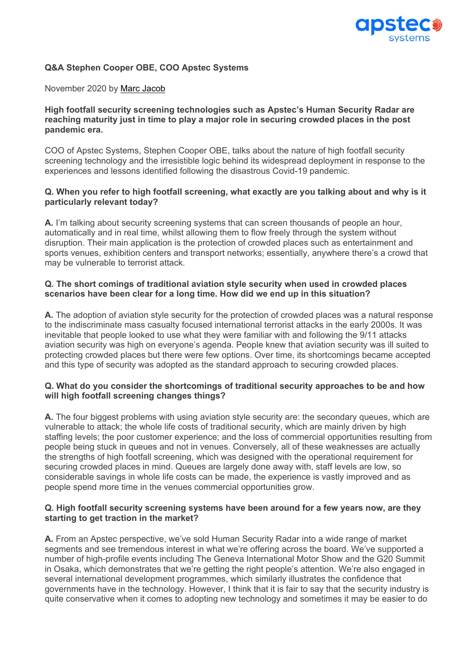

# **Q&A Stephen Cooper OBE, COO Apstec Systems**

#### November 2020 by Marc Jacob

### **High footfall security screening technologies such as Apstec's Human Security Radar are reaching maturity just in time to play a major role in securing crowded places in the post pandemic era.**

COO of Apstec Systems, Stephen Cooper OBE, talks about the nature of high footfall security screening technology and the irresistible logic behind its widespread deployment in response to the experiences and lessons identified following the disastrous Covid-19 pandemic.

### **Q. When you refer to high footfall screening, what exactly are you talking about and why is it particularly relevant today?**

**A.** I'm talking about security screening systems that can screen thousands of people an hour, automatically and in real time, whilst allowing them to flow freely through the system without disruption. Their main application is the protection of crowded places such as entertainment and sports venues, exhibition centers and transport networks; essentially, anywhere there's a crowd that may be vulnerable to terrorist attack.

# **Q. The short comings of traditional aviation style security when used in crowded places scenarios have been clear for a long time. How did we end up in this situation?**

**A.** The adoption of aviation style security for the protection of crowded places was a natural response to the indiscriminate mass casualty focused international terrorist attacks in the early 2000s. It was inevitable that people looked to use what they were familiar with and following the 9/11 attacks aviation security was high on everyone's agenda. People knew that aviation security was ill suited to protecting crowded places but there were few options. Over time, its shortcomings became accepted and this type of security was adopted as the standard approach to securing crowded places.

### **Q. What do you consider the shortcomings of traditional security approaches to be and how will high footfall screening changes things?**

**A.** The four biggest problems with using aviation style security are: the secondary queues, which are vulnerable to attack; the whole life costs of traditional security, which are mainly driven by high staffing levels; the poor customer experience; and the loss of commercial opportunities resulting from people being stuck in queues and not in venues. Conversely, all of these weaknesses are actually the strengths of high footfall screening, which was designed with the operational requirement for securing crowded places in mind. Queues are largely done away with, staff levels are low, so considerable savings in whole life costs can be made, the experience is vastly improved and as people spend more time in the venues commercial opportunities grow.

### **Q. High footfall security screening systems have been around for a few years now, are they starting to get traction in the market?**

**A.** From an Apstec perspective, we've sold Human Security Radar into a wide range of market segments and see tremendous interest in what we're offering across the board. We've supported a number of high-profile events including The Geneva International Motor Show and the G20 Summit in Osaka, which demonstrates that we're getting the right people's attention. We're also engaged in several international development programmes, which similarly illustrates the confidence that governments have in the technology. However, I think that it is fair to say that the security industry is quite conservative when it comes to adopting new technology and sometimes it may be easier to do